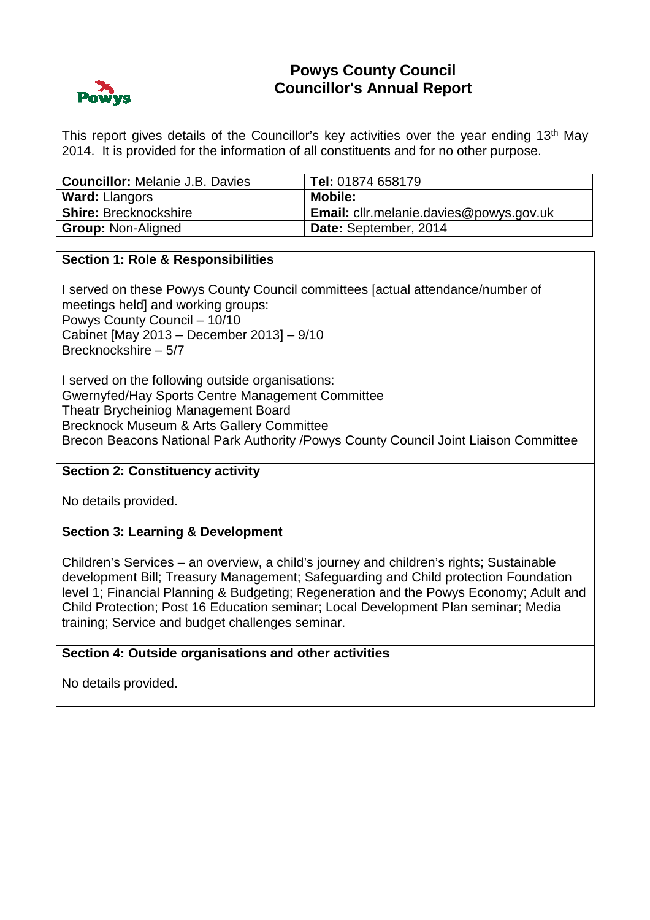

# **Powys County Council Councillor's Annual Report**

This report gives details of the Councillor's key activities over the year ending 13<sup>th</sup> May 2014. It is provided for the information of all constituents and for no other purpose.

| <b>Councillor:</b> Melanie J.B. Davies | Tel: 01874 658179                              |
|----------------------------------------|------------------------------------------------|
| <b>Ward: Llangors</b>                  | <b>Mobile:</b>                                 |
| <b>Shire: Brecknockshire</b>           | <b>Email:</b> cllr.melanie.davies@powys.gov.uk |
| <b>Group: Non-Aligned</b>              | Date: September, 2014                          |

### **Section 1: Role & Responsibilities**

I served on these Powys County Council committees [actual attendance/number of meetings held] and working groups: Powys County Council – 10/10 Cabinet [May 2013 – December 2013] – 9/10 Brecknockshire – 5/7

I served on the following outside organisations: Gwernyfed/Hay Sports Centre Management Committee Theatr Brycheiniog Management Board Brecknock Museum & Arts Gallery Committee Brecon Beacons National Park Authority /Powys County Council Joint Liaison Committee

### **Section 2: Constituency activity**

No details provided.

## **Section 3: Learning & Development**

Children's Services – an overview, a child's journey and children's rights; Sustainable development Bill; Treasury Management; Safeguarding and Child protection Foundation level 1; Financial Planning & Budgeting; Regeneration and the Powys Economy; Adult and Child Protection; Post 16 Education seminar; Local Development Plan seminar; Media training; Service and budget challenges seminar.

### **Section 4: Outside organisations and other activities**

No details provided.